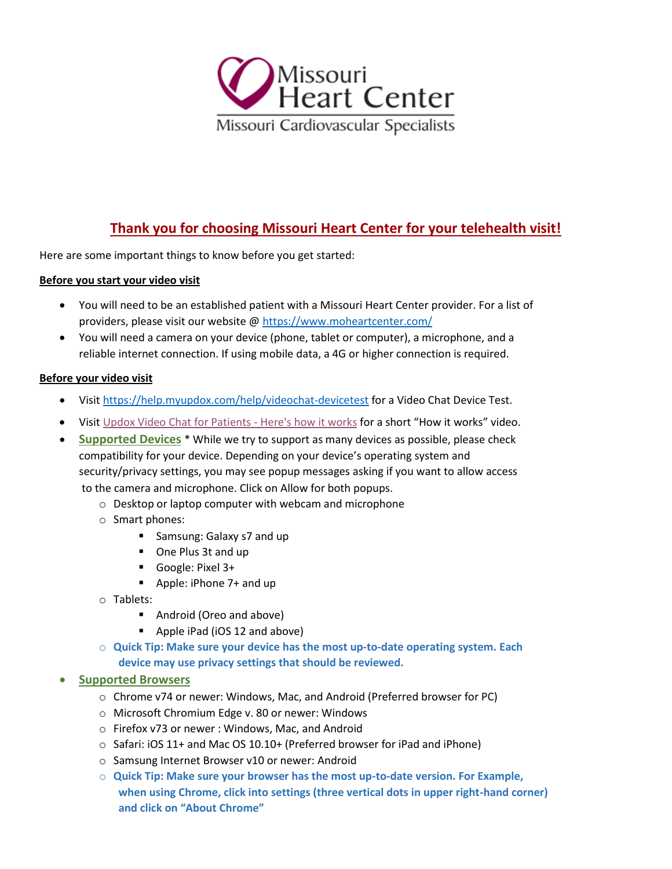

# **Thank you for choosing Missouri Heart Center for your telehealth visit!**

Here are some important things to know before you get started:

#### **Before you start your video visit**

- You will need to be an established patient with a Missouri Heart Center provider. For a list of providers, please visit our website @ https://www.moheartcenter.com/
- You will need a camera on your device (phone, tablet or computer), a microphone, and a reliable internet connection. If using mobile data, a 4G or higher connection is required.

## **Before your video visit**

- Visit https://help.myupdox.com/help/videochat-devicetest for a Video Chat Device Test.
- Visit [Updox Video Chat for Patients -](https://info.updox.com/telehealth-videochat-patients?hs_preview=zqiQPmqW-28523663816) Here's how it works for a short "How it works" video.
- **Supported Devices** \* While we try to support as many devices as possible, please check compatibility for your device. Depending on your device's operating system and security/privacy settings, you may see popup messages asking if you want to allow access to the camera and microphone. Click on Allow for both popups.
	- o Desktop or laptop computer with webcam and microphone
	- o Smart phones:
		- Samsung: Galaxy s7 and up
		- One Plus 3t and up
		- Google: Pixel 3+
		- Apple: iPhone 7+ and up
	- o Tablets:
		- Android (Oreo and above)
		- Apple iPad (iOS 12 and above)
	- o **Quick Tip: Make sure your device has the most up-to-date operating system. Each device may use privacy settings that should be reviewed.**

## • **Supported Browsers**

- o Chrome v74 or newer: Windows, Mac, and Android (Preferred browser for PC)
- o Microsoft Chromium Edge v. 80 or newer: Windows
- o Firefox v73 or newer : Windows, Mac, and Android
- $\circ$  Safari: iOS 11+ and Mac OS 10.10+ (Preferred browser for iPad and iPhone)
- o Samsung Internet Browser v10 or newer: Android
- o **Quick Tip: Make sure your browser has the most up-to-date version. For Example, when using Chrome, click into settings (three vertical dots in upper right-hand corner) and click on "About Chrome"**